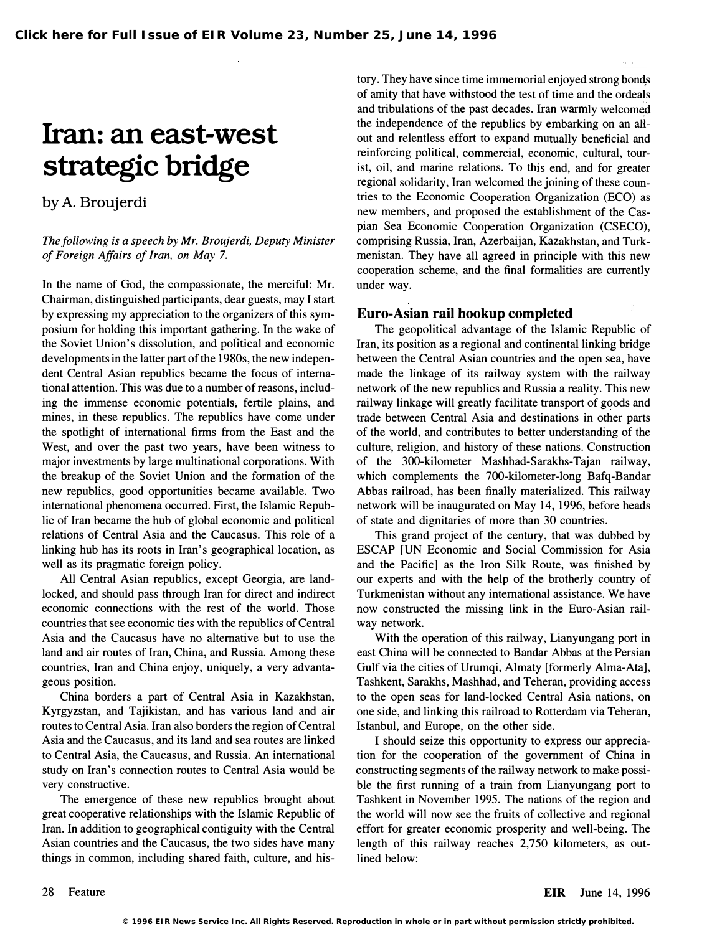## Iran: an east-west strategic bridge

by A. Broujerdi

The following is a speech by Mr. Broujerdi, Deputy Minister of Foreign Affairs of Iran, on May 7.

In the name of God, the compassionate, the merciful: Mr. Chairman, distinguished participants, dear guests, may I start by expressing my appreciation to the organizers of this symposium for holding this important gathering. In the wake of the Soviet Union's dissolution, and pofitical and economic developments in the latter part of the 1980s, the new independent Central Asian republics became the focus of international attention. This was due to a number of reasons, including the immense economic potentials, fertile plains, and mines, in these republics. The republics have come under the spotlight of international firms from the East and the West, and over the past two years, have been witness to major investments by large multinational corporations. With the breakup of the Soviet Union and the formation of the new republics, good opportunities became available. Two international phenomena occurred. First, the Islamic Republic of Iran became the hub of global economic and political relations of Central Asia and the Caucasus. This role of a linking hub has its roots in Iran's geographical location, as well as its pragmatic foreign policy.

All Central Asian republics, except Georgia, are landlocked, and should pass through Iran for direct and indirect economic connections with the rest of the world. Those countries that see economic ties with the republics of Central Asia and the Caucasus have no alternative but to use the land and air routes of Iran, China, and Russia. Among these countries, Iran and China enjoy, uniquely, a very advantageous position.

China borders a part of Central Asia in Kazakhstan, Kyrgyzstan, and Tajikistan, and has various land and air routes to Central Asia. Iran also borders the region of Central Asia and the Caucasus, and its land and sea routes are linked to Central Asia, the Caucasus, and Russia. An international study on Iran's connection routes to Central Asia would be very constructive.

The emergence of these new republics brought about great cooperative relationships with the Islamic Republic of Iran. In addition to geographical contiguity with the Central Asian countries and the Caucasus, the two sides have many things in common, including shared faith, culture, and history. They have since time immemorial enjoyed strong bonqs of amity that have withstood the test of time and the ordeals and tribulations of the past decades. Iran warmly welcomed the independence of the republics by embarking on an allout and relentless effort to expand mutually beneficial and reinforcing political, commercial, economic, cultural, tourist, oil, and marine relations. To this end, and for greater regional solidarity, Iran welcomed the joining of these countries to the Economic Cooperation Organization (ECO) as new members, and proposed the establishment of the Caspian Sea Economic Cooperation Organization (CSECO), comprising Russia, Iran, Azerbaijan, Kazakhstan, and Turkmenistan. They have all agreed in principle with this new cooperation scheme, and the final formalities are currently under way.

## Euro-Asian rail hookup completed

The geopolitical advantage of the Islamic Republic of Iran, its position as a regional and continental linking bridge between the Central Asian countries and the open sea, have made the linkage of its railway system with the railway network of the new republics and Russia a reality. This new railway linkage will greatly facilitate transport of goods and trade between Central Asia and destinations in other parts of the world, and contributes to better understanding of the culture, religion, and history of these nations. Construction of the 300-kilometer Mashhad-Sarakhs-Tajan railway, which complements the 700-kilometer-Iong Bafq-Bandar Abbas railroad, has been finally materialized. This railway network will be inaugurated on May 14, 1996, before heads of state and dignitaries of more than 30 countries.

This grand project of the century, that was dubbed by ESCAP [UN Economic and Social Commission for Asia and the Pacific] as the Iron Silk Route, was finished by our experts and with the help of the brotherly country of Turkmenistan without any international assistance. We have now constructed the missing link in the Euro-Asian railway network.

With the operation of this railway, Lianyungang port in east China will be connected to Bandar Abbas at the Persian Gulf via the cities of Urumqi, Almaty [formerly Alma-Ata], Tashkent, Sarakhs, Mashhad, and Teheran, providing access to the open seas for land-locked Central Asia nations, on one side, and linking this railroad to Rotterdam via Teheran, Istanbul, and Europe, on the other side.

I should seize this opportunity to express our appreciation for the cooperation of the government of China in constructing segments of the railway network to make possible the first running of a train from Lianyungang port to Tashkent in November 1995. The nations of the region and the world will now see the fruits of collective and regional effort for greater economic prosperity and well-being. The length of this railway reaches 2,750 kilometers, as outlined below: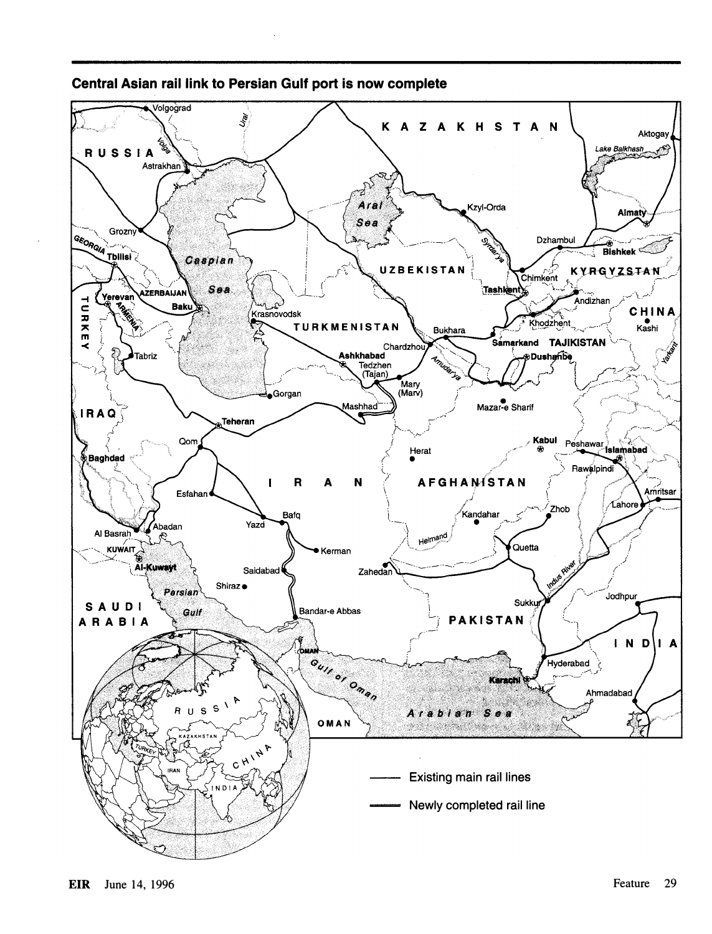

## Central Asian rail link to Persian Gulf port is now complete